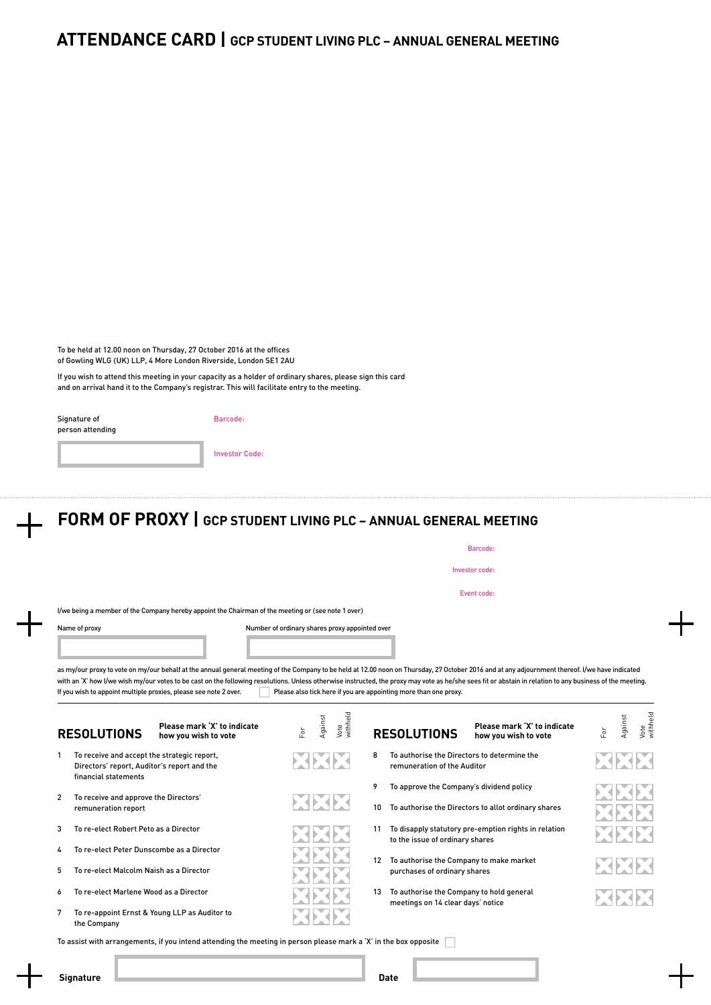## **ATTENDANCE CARD | GCP STUDENT LIVING PLC – ANNUAL GENERAL MEETING**

To be held at 12.00 noon on Thursday, 27 October 2016 at the offices of Gowling WLG (UK) LLP, 4 More London Riverside, London SE1 2AU

If you wish to attend this meeting in your capacity as a holder of ordinary shares, please sign this card and on arrival hand it to the Company's registrar. This will facilitate entry to the meeting.

| Signature of     |
|------------------|
| person attending |

Barcode:

Investor Code:

## **FORM OF PROXY | GCP STUDENT LIVING PLC – ANNUAL GENERAL MEETING**

|                                                                                                                    |                                                                                                    | Barcode:                                                                                                                                                                                                                                                                                                                                                                                                                                                                         |                  |
|--------------------------------------------------------------------------------------------------------------------|----------------------------------------------------------------------------------------------------|----------------------------------------------------------------------------------------------------------------------------------------------------------------------------------------------------------------------------------------------------------------------------------------------------------------------------------------------------------------------------------------------------------------------------------------------------------------------------------|------------------|
|                                                                                                                    |                                                                                                    | Investor code:                                                                                                                                                                                                                                                                                                                                                                                                                                                                   |                  |
|                                                                                                                    |                                                                                                    | Event code:                                                                                                                                                                                                                                                                                                                                                                                                                                                                      |                  |
|                                                                                                                    | I/we being a member of the Company hereby appoint the Chairman of the meeting or (see note 1 over) |                                                                                                                                                                                                                                                                                                                                                                                                                                                                                  |                  |
|                                                                                                                    |                                                                                                    |                                                                                                                                                                                                                                                                                                                                                                                                                                                                                  |                  |
|                                                                                                                    |                                                                                                    | as my/our proxy to vote on my/our behalf at the annual general meeting of the Company to be held at 12.00 noon on Thursday, 27 October 2016 and at any adjournment thereof. I/we have indicated<br>with an 'X' how I/we wish my/our votes to be cast on the following resolutions. Unless otherwise instructed, the proxy may vote as he/she sees fit or abstain in relation to any business of the meeting.<br>Please also tick here if you are appointing more than one proxy. |                  |
| If you wish to appoint multiple proxies, please see note 2 over.<br><b>RESOLUTIONS</b>                             | Please mark 'X' to indicate<br>how you wish to vote                                                | Vote<br>withheld<br>Against<br>gainst<br>Please mark 'X' to indicate<br>ă<br>For<br><b>RESOLUTIONS</b><br>how you wish to vote                                                                                                                                                                                                                                                                                                                                                   | Vote<br>withheld |
| To receive and accept the strategic report,<br>Directors' report, Auditor's report and the<br>financial statements |                                                                                                    | To authorise the Directors to determine the<br>8<br>remuneration of the Auditor                                                                                                                                                                                                                                                                                                                                                                                                  |                  |

XXX

2 To receive and approve the Directors' remuneration report

3 To re‑elect Robert Peto as a Director

4 To re‑elect Peter Dunscombe as a Director

5 To re‑elect Malcolm Naish as a Director

6 To re‑elect Marlene Wood as a Director

7 To re‑appoint Ernst & Young LLP as Auditor to the Company

9 To approve the Company's dividend policy

10 To authorise the Directors to allot ordinary shares

11 To disapply statutory pre‑emption rights in relation to the issue of ordinary shares

12 To authorise the Company to make market purchases of ordinary shares

13 To authorise the Company to hold general meetings on 14 clear days' notice

KIXIX XXX

To assist with arrangements, if you intend attending the meeting in person please mark a 'X' in the box opposite

**Signature Date**